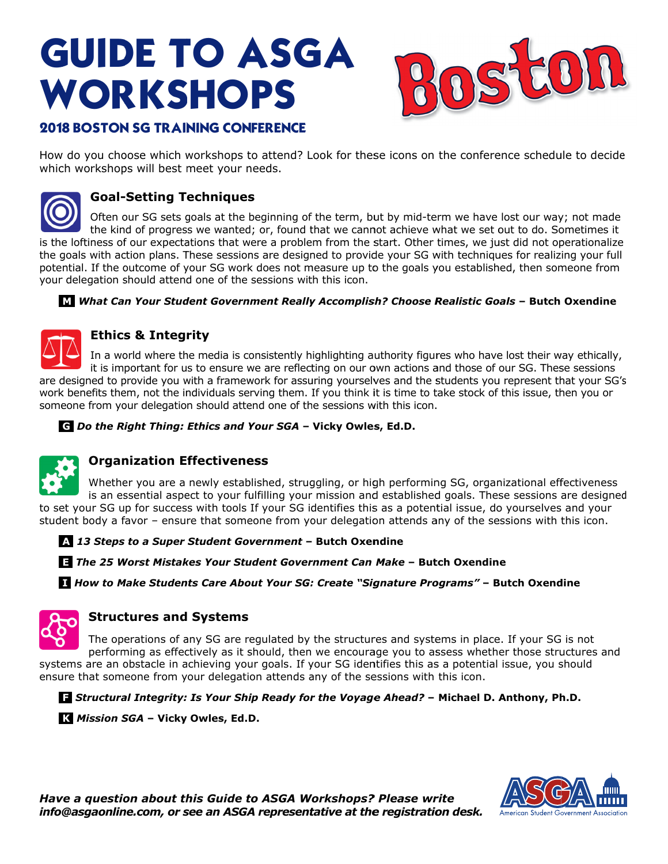# **GUIDE TO ASGA** WORKSHOPS



# **2018 BOSTON SG TRAINING CONFERENCE**

How do you choose which workshops to attend? Look for these icons on the conference schedule to decide which workshops will best meet your needs.



# **Goal-Setting Techniques**

Often our SG sets goals at the beginning of the term, but by mid-term we have lost our way; not made the kind of progress we wanted; or, found that we cannot achieve what we set out to do. Sometimes it is the loftiness of our expectations that were a problem from the start. Other times, we just did not operationalize the goals with action plans. These sessions are designed to provide your SG with techniques for realizing your full potential. If the outcome of your SG work does not measure up to the goals you established, then someone from your delegation should attend one of the sessions with this icon.

## **M** What Can Your Student Government Really Accomplish? Choose Realistic Goals - Butch Oxendine



## **Ethics & Integrity**

In a world where the media is consistently highlighting authority figures who have lost their way ethically,

it is important for us to ensure we are reflecting on our own actions and those of our SG. These sessions are designed to provide you with a framework for assuring yourselves and the students you represent that your SG's work benefits them, not the individuals serving them. If you think it is time to take stock of this issue, then you or someone from your delegation should attend one of the sessions with this icon.

C Do the Right Thing: Ethics and Your SGA - Vicky Owles, Ed.D.



## **Organization Effectiveness**

Whether you are a newly established, struggling, or high performing SG, organizational effectiveness is an essential aspect to your fulfilling your mission and established goals. These sessions are designed to set your SG up for success with tools If your SG identifies this as a potential issue, do yourselves and your student body a favor - ensure that someone from your delegation attends any of the sessions with this icon.

4. 13 Steps to a Super Student Government - Butch Oxendine

**Et The 25 Worst Mistakes Your Student Government Can Make - Butch Oxendine** 

**I How to Make Students Care About Your SG: Create "Signature Programs" - Butch Oxendine** 



## **Structures and Systems**

The operations of any SG are regulated by the structures and systems in place. If your SG is not performing as effectively as it should, then we encourage you to assess whether those structures and systems are an obstacle in achieving your goals. If your SG identifies this as a potential issue, you should ensure that someone from your delegation attends any of the sessions with this icon.

**El** Structural Integrity: Is Your Ship Ready for the Voyage Ahead? - Michael D. Anthony, Ph.D.

K Mission SGA - Vicky Owles, Ed.D.